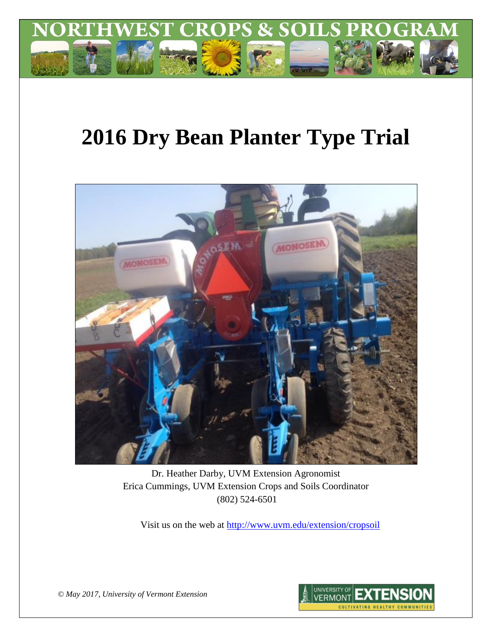

# **2016 Dry Bean Planter Type Trial**



Dr. Heather Darby, UVM Extension Agronomist Erica Cummings, UVM Extension Crops and Soils Coordinator (802) 524-6501

Visit us on the web at<http://www.uvm.edu/extension/cropsoil>



*© May 2017, University of Vermont Extension*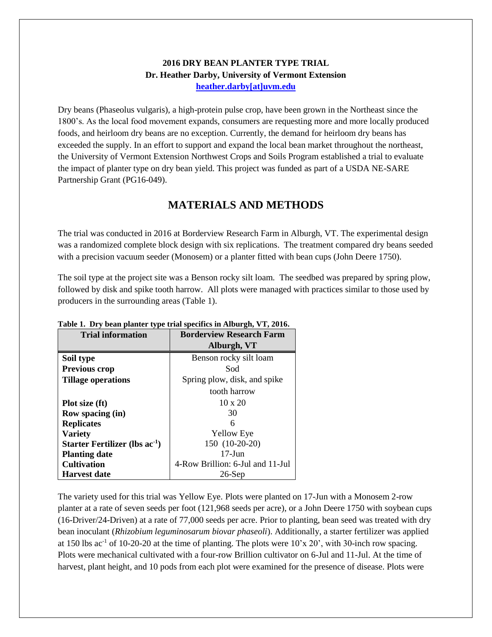### **2016 DRY BEAN PLANTER TYPE TRIAL Dr. Heather Darby, University of Vermont Extension [heather.darby\[at\]uvm.edu](mailto:hdarby@uvm.edu?subject=2012%20Winter%20Wheat%20Planting%20Date)**

Dry beans (Phaseolus vulgaris), a high-protein pulse crop, have been grown in the Northeast since the 1800's. As the local food movement expands, consumers are requesting more and more locally produced foods, and heirloom dry beans are no exception. Currently, the demand for heirloom dry beans has exceeded the supply. In an effort to support and expand the local bean market throughout the northeast, the University of Vermont Extension Northwest Crops and Soils Program established a trial to evaluate the impact of planter type on dry bean yield. This project was funded as part of a USDA NE-SARE Partnership Grant (PG16-049).

## **MATERIALS AND METHODS**

The trial was conducted in 2016 at Borderview Research Farm in Alburgh, VT. The experimental design was a randomized complete block design with six replications. The treatment compared dry beans seeded with a precision vacuum seeder (Monosem) or a planter fitted with bean cups (John Deere 1750).

The soil type at the project site was a Benson rocky silt loam. The seedbed was prepared by spring plow, followed by disk and spike tooth harrow. All plots were managed with practices similar to those used by producers in the surrounding areas (Table 1).

| <b>Trial information</b>                   | <b>Borderview Research Farm</b>  |  |  |
|--------------------------------------------|----------------------------------|--|--|
|                                            | Alburgh, VT                      |  |  |
| Soil type                                  | Benson rocky silt loam           |  |  |
| <b>Previous crop</b>                       | Sod                              |  |  |
| <b>Tillage operations</b>                  | Spring plow, disk, and spike     |  |  |
|                                            | tooth harrow                     |  |  |
| Plot size (ft)                             | $10 \times 20$                   |  |  |
| <b>Row spacing (in)</b>                    | 30                               |  |  |
| <b>Replicates</b>                          | 6                                |  |  |
| <b>Variety</b>                             | <b>Yellow Eye</b>                |  |  |
| Starter Fertilizer (lbs ac <sup>-1</sup> ) | 150 (10-20-20)                   |  |  |
| <b>Planting date</b>                       | $17 - \text{Jun}$                |  |  |
| <b>Cultivation</b>                         | 4-Row Brillion: 6-Jul and 11-Jul |  |  |
| <b>Harvest date</b>                        | $26$ -Sep                        |  |  |

#### **Table 1. Dry bean planter type trial specifics in Alburgh, VT, 2016.**

The variety used for this trial was Yellow Eye. Plots were planted on 17-Jun with a Monosem 2-row planter at a rate of seven seeds per foot (121,968 seeds per acre), or a John Deere 1750 with soybean cups (16-Driver/24-Driven) at a rate of 77,000 seeds per acre. Prior to planting, bean seed was treated with dry bean inoculant (*Rhizobium leguminosarum biovar phaseoli*). Additionally, a starter fertilizer was applied at 150 lbs ac<sup>-1</sup> of 10-20-20 at the time of planting. The plots were  $10'x 20'$ , with 30-inch row spacing. Plots were mechanical cultivated with a four-row Brillion cultivator on 6-Jul and 11-Jul. At the time of harvest, plant height, and 10 pods from each plot were examined for the presence of disease. Plots were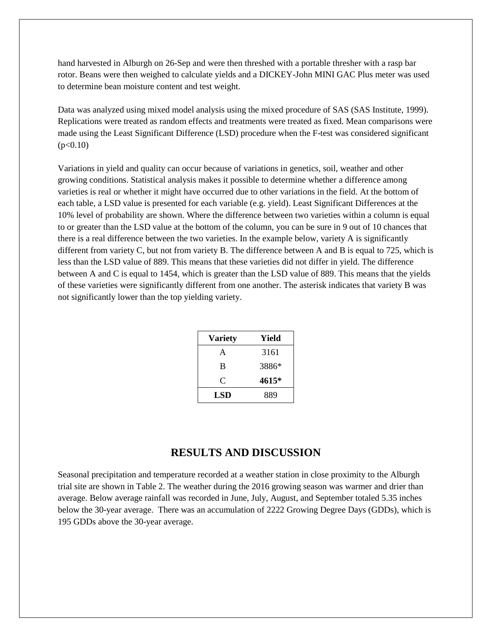hand harvested in Alburgh on 26-Sep and were then threshed with a portable thresher with a rasp bar rotor. Beans were then weighed to calculate yields and a DICKEY-John MINI GAC Plus meter was used to determine bean moisture content and test weight.

Data was analyzed using mixed model analysis using the mixed procedure of SAS (SAS Institute, 1999). Replications were treated as random effects and treatments were treated as fixed. Mean comparisons were made using the Least Significant Difference (LSD) procedure when the F-test was considered significant  $(p<0.10)$ 

Variations in yield and quality can occur because of variations in genetics, soil, weather and other growing conditions. Statistical analysis makes it possible to determine whether a difference among varieties is real or whether it might have occurred due to other variations in the field. At the bottom of each table, a LSD value is presented for each variable (e.g. yield). Least Significant Differences at the 10% level of probability are shown. Where the difference between two varieties within a column is equal to or greater than the LSD value at the bottom of the column, you can be sure in 9 out of 10 chances that there is a real difference between the two varieties. In the example below, variety A is significantly different from variety C, but not from variety B. The difference between A and B is equal to 725, which is less than the LSD value of 889. This means that these varieties did not differ in yield. The difference between A and C is equal to 1454, which is greater than the LSD value of 889. This means that the yields of these varieties were significantly different from one another. The asterisk indicates that variety B was not significantly lower than the top yielding variety.

| Variety    | Yield |  |  |
|------------|-------|--|--|
| A          | 3161  |  |  |
| B          | 3886* |  |  |
| C          | 4615* |  |  |
| <b>LSD</b> | 889   |  |  |

## **RESULTS AND DISCUSSION**

Seasonal precipitation and temperature recorded at a weather station in close proximity to the Alburgh trial site are shown in Table 2. The weather during the 2016 growing season was warmer and drier than average. Below average rainfall was recorded in June, July, August, and September totaled 5.35 inches below the 30-year average. There was an accumulation of 2222 Growing Degree Days (GDDs), which is 195 GDDs above the 30-year average.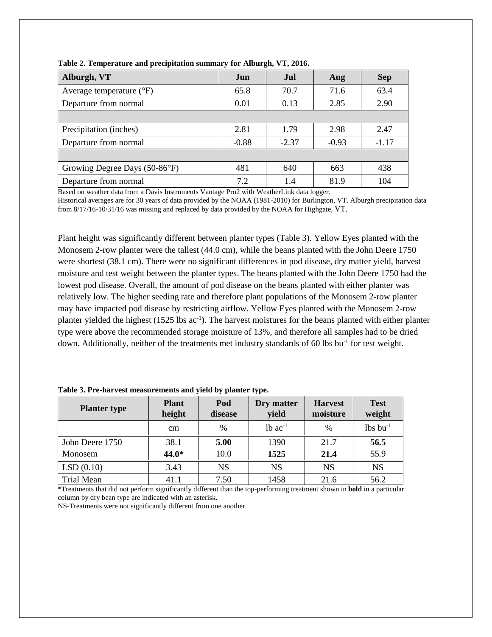| Alburgh, VT                       | Jun     | Jul.    | Aug     | <b>Sep</b> |
|-----------------------------------|---------|---------|---------|------------|
| Average temperature $(^{\circ}F)$ | 65.8    | 70.7    | 71.6    | 63.4       |
| Departure from normal             | 0.01    | 0.13    | 2.85    | 2.90       |
|                                   |         |         |         |            |
| Precipitation (inches)            | 2.81    | 1.79    | 2.98    | 2.47       |
| Departure from normal             | $-0.88$ | $-2.37$ | $-0.93$ | $-1.17$    |
|                                   |         |         |         |            |
| Growing Degree Days (50-86°F)     | 481     | 640     | 663     | 438        |
| Departure from normal             | 7.2     | 1.4     | 81.9    | 104        |

**Table 2. Temperature and precipitation summary for Alburgh, VT, 2016.**

Based on weather data from a Davis Instruments Vantage Pro2 with WeatherLink data logger.

Historical averages are for 30 years of data provided by the NOAA (1981-2010) for Burlington, VT. Alburgh precipitation data from 8/17/16-10/31/16 was missing and replaced by data provided by the NOAA for Highgate, VT.

Plant height was significantly different between planter types (Table 3). Yellow Eyes planted with the Monosem 2-row planter were the tallest (44.0 cm), while the beans planted with the John Deere 1750 were shortest (38.1 cm). There were no significant differences in pod disease, dry matter yield, harvest moisture and test weight between the planter types. The beans planted with the John Deere 1750 had the lowest pod disease. Overall, the amount of pod disease on the beans planted with either planter was relatively low. The higher seeding rate and therefore plant populations of the Monosem 2-row planter may have impacted pod disease by restricting airflow. Yellow Eyes planted with the Monosem 2-row planter yielded the highest (1525 lbs ac<sup>-1</sup>). The harvest moistures for the beans planted with either planter type were above the recommended storage moisture of 13%, and therefore all samples had to be dried down. Additionally, neither of the treatments met industry standards of 60 lbs bu<sup>-1</sup> for test weight.

| <b>Planter type</b> | <b>Plant</b><br>height | Pod<br>disease | Dry matter<br>yield   | <b>Harvest</b><br>moisture | <b>Test</b><br>weight  |
|---------------------|------------------------|----------------|-----------------------|----------------------------|------------------------|
|                     | cm                     | $\frac{0}{0}$  | $1b$ ac <sup>-1</sup> | $\%$                       | $lbs$ bu <sup>-1</sup> |
| John Deere 1750     | 38.1                   | 5.00           | 1390                  | 21.7                       | 56.5                   |
| Monosem             | 44.0*                  | 10.0           | 1525                  | 21.4                       | 55.9                   |
| LSD(0.10)           | 3.43                   | <b>NS</b>      | <b>NS</b>             | <b>NS</b>                  | <b>NS</b>              |
| Trial Mean          | 41.1                   | 7.50           | 1458                  | 21.6                       | 56.2                   |

**Table 3. Pre-harvest measurements and yield by planter type.**

\*Treatments that did not perform significantly different than the top-performing treatment shown in **bold** in a particular column by dry bean type are indicated with an asterisk.

NS-Treatments were not significantly different from one another.